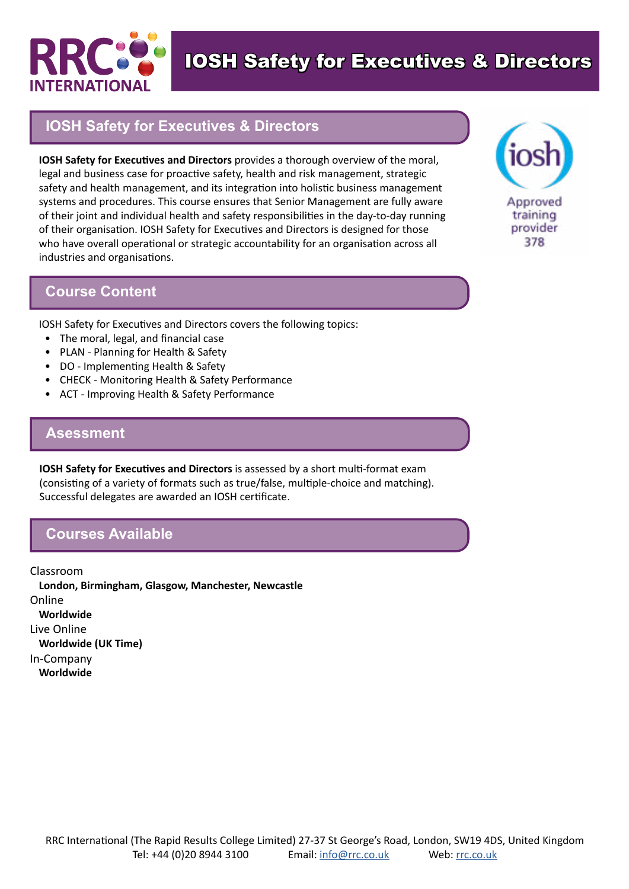

IOSH Safety for Executives & Directors

## **IOSH Safety for Executives & Directors**

**IOSH Safety for Executives and Directors** provides a thorough overview of the moral, legal and business case for proactive safety, health and risk management, strategic safety and health management, and its integration into holistic business management systems and procedures. This course ensures that Senior Management are fully aware of their joint and individual health and safety responsibilities in the day-to-day running of their organisation. IOSH Safety for Executives and Directors is designed for those who have overall operational or strategic accountability for an organisation across all industries and organisations.



IOSH Safety for Executives and Directors covers the following topics:

- The moral, legal, and financial case
- PLAN Planning for Health & Safety
- DO Implementing Health & Safety
- CHECK Monitoring Health & Safety Performance
- ACT Improving Health & Safety Performance

#### **Asessment**

**IOSH Safety for Executives and Directors** is assessed by a short multi-format exam (consisting of a variety of formats such as true/false, multiple-choice and matching). Successful delegates are awarded an IOSH certificate.

### **Courses Available**

Classroom **London, Birmingham, Glasgow, Manchester, Newcastle** Online **Worldwide** Live Online **Worldwide (UK Time)** In-Company **Worldwide**